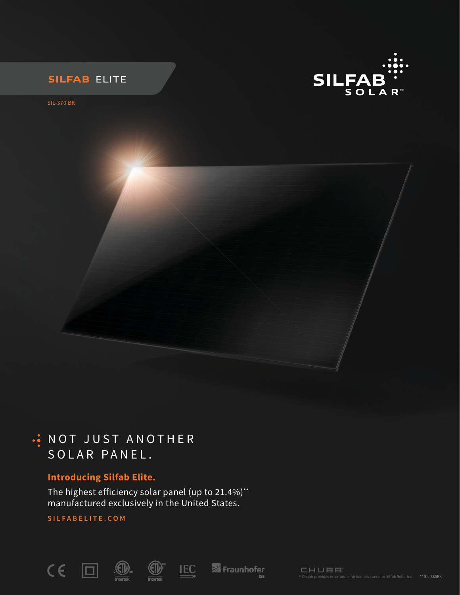



SIL-370 BK

## . NOT JUST ANOTHER SOLAR PANEL.

## **Introducing Silfab Elite.**

The highest efficiency solar panel (up to 21.4%)\*\* manufactured exclusively in the United States.

**SILFABELITE.COM**